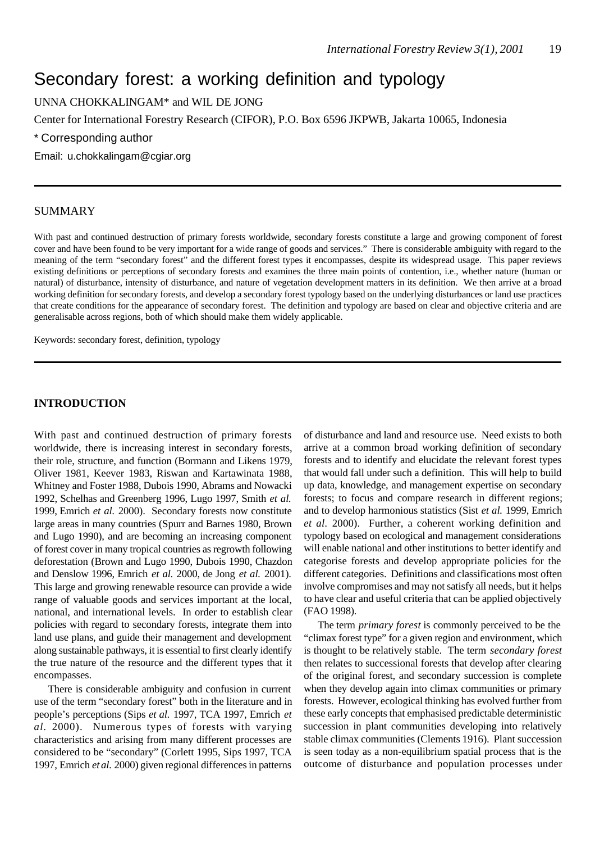# Secondary forest: a working definition and typology

UNNA CHOKKALINGAM\* and WIL DE JONG

Center for International Forestry Research (CIFOR), P.O. Box 6596 JKPWB, Jakarta 10065, Indonesia

\* Corresponding author

Email: u.chokkalingam@cgiar.org

#### SUMMARY

With past and continued destruction of primary forests worldwide, secondary forests constitute a large and growing component of forest cover and have been found to be very important for a wide range of goods and services." There is considerable ambiguity with regard to the meaning of the term "secondary forest" and the different forest types it encompasses, despite its widespread usage. This paper reviews existing definitions or perceptions of secondary forests and examines the three main points of contention, i.e., whether nature (human or natural) of disturbance, intensity of disturbance, and nature of vegetation development matters in its definition. We then arrive at a broad working definition for secondary forests, and develop a secondary forest typology based on the underlying disturbances or land use practices that create conditions for the appearance of secondary forest. The definition and typology are based on clear and objective criteria and are generalisable across regions, both of which should make them widely applicable.

Keywords: secondary forest, definition, typology

# **INTRODUCTION**

With past and continued destruction of primary forests worldwide, there is increasing interest in secondary forests, their role, structure, and function (Bormann and Likens 1979, Oliver 1981, Keever 1983, Riswan and Kartawinata 1988, Whitney and Foster 1988, Dubois 1990, Abrams and Nowacki 1992, Schelhas and Greenberg 1996, Lugo 1997, Smith *et al.* 1999, Emrich *et al.* 2000). Secondary forests now constitute large areas in many countries (Spurr and Barnes 1980, Brown and Lugo 1990), and are becoming an increasing component of forest cover in many tropical countries as regrowth following deforestation (Brown and Lugo 1990, Dubois 1990, Chazdon and Denslow 1996, Emrich *et al.* 2000, de Jong *et al.* 2001). This large and growing renewable resource can provide a wide range of valuable goods and services important at the local, national, and international levels. In order to establish clear policies with regard to secondary forests, integrate them into land use plans, and guide their management and development along sustainable pathways, it is essential to first clearly identify the true nature of the resource and the different types that it encompasses.

There is considerable ambiguity and confusion in current use of the term "secondary forest" both in the literature and in people's perceptions (Sips *et al.* 1997, TCA 1997, Emrich *et al.* 2000). Numerous types of forests with varying characteristics and arising from many different processes are considered to be "secondary" (Corlett 1995, Sips 1997, TCA 1997, Emrich *et al.* 2000) given regional differences in patterns

of disturbance and land and resource use. Need exists to both arrive at a common broad working definition of secondary forests and to identify and elucidate the relevant forest types that would fall under such a definition. This will help to build up data, knowledge, and management expertise on secondary forests; to focus and compare research in different regions; and to develop harmonious statistics (Sist *et al.* 1999, Emrich *et al.* 2000). Further, a coherent working definition and typology based on ecological and management considerations will enable national and other institutions to better identify and categorise forests and develop appropriate policies for the different categories. Definitions and classifications most often involve compromises and may not satisfy all needs, but it helps to have clear and useful criteria that can be applied objectively (FAO 1998).

The term *primary forest* is commonly perceived to be the "climax forest type" for a given region and environment, which is thought to be relatively stable. The term *secondary forest* then relates to successional forests that develop after clearing of the original forest, and secondary succession is complete when they develop again into climax communities or primary forests. However, ecological thinking has evolved further from these early concepts that emphasised predictable deterministic succession in plant communities developing into relatively stable climax communities (Clements 1916). Plant succession is seen today as a non-equilibrium spatial process that is the outcome of disturbance and population processes under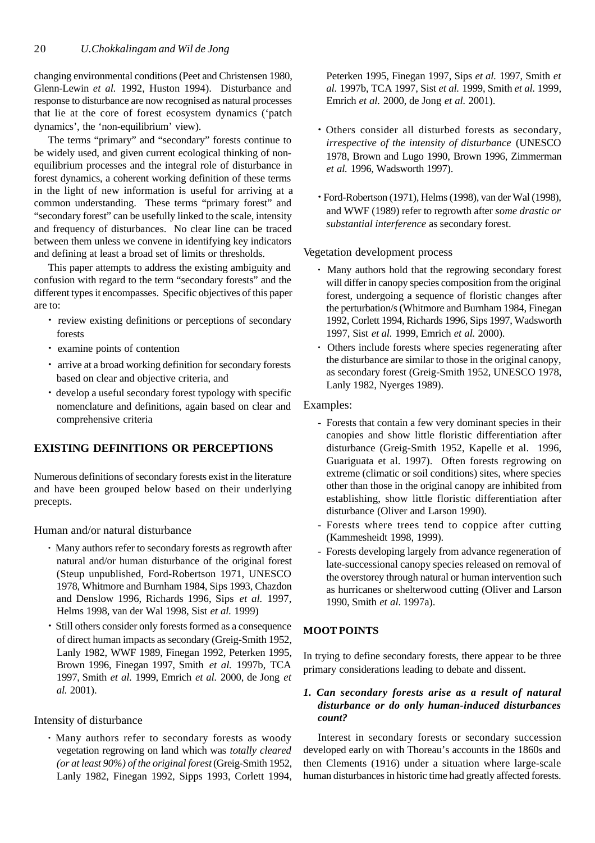changing environmental conditions (Peet and Christensen 1980, Glenn-Lewin *et al.* 1992, Huston 1994). Disturbance and response to disturbance are now recognised as natural processes that lie at the core of forest ecosystem dynamics ('patch dynamics', the 'non-equilibrium' view).

The terms "primary" and "secondary" forests continue to be widely used, and given current ecological thinking of nonequilibrium processes and the integral role of disturbance in forest dynamics, a coherent working definition of these terms in the light of new information is useful for arriving at a common understanding. These terms "primary forest" and "secondary forest" can be usefully linked to the scale, intensity and frequency of disturbances. No clear line can be traced between them unless we convene in identifying key indicators and defining at least a broad set of limits or thresholds.

This paper attempts to address the existing ambiguity and confusion with regard to the term "secondary forests" and the different types it encompasses. Specific objectives of this paper are to:

- *·* review existing definitions or perceptions of secondary forests
- *·* examine points of contention
- *·* arrive at a broad working definition for secondary forests based on clear and objective criteria, and
- *·* develop a useful secondary forest typology with specific nomenclature and definitions, again based on clear and comprehensive criteria

# **EXISTING DEFINITIONS OR PERCEPTIONS**

Numerous definitions of secondary forests exist in the literature and have been grouped below based on their underlying precepts.

Human and/or natural disturbance

- *·* Many authors refer to secondary forests as regrowth after natural and/or human disturbance of the original forest (Steup unpublished, Ford-Robertson 1971, UNESCO 1978, Whitmore and Burnham 1984, Sips 1993, Chazdon and Denslow 1996, Richards 1996, Sips *et al.* 1997, Helms 1998, van der Wal 1998, Sist *et al.* 1999)
- *·* Still others consider only forests formed as a consequence of direct human impacts as secondary (Greig-Smith 1952, Lanly 1982, WWF 1989, Finegan 1992, Peterken 1995, Brown 1996, Finegan 1997, Smith *et al.* 1997b, TCA 1997, Smith *et al.* 1999, Emrich *et al.* 2000, de Jong *et al.* 2001).

## Intensity of disturbance

*·* Many authors refer to secondary forests as woody vegetation regrowing on land which was *totally cleared (or at least 90%) of the original forest* (Greig-Smith 1952, Lanly 1982, Finegan 1992, Sipps 1993, Corlett 1994,

Peterken 1995, Finegan 1997, Sips *et al.* 1997, Smith *et al.* 1997b, TCA 1997, Sist *et al.* 1999, Smith *et al.* 1999, Emrich *et al.* 2000, de Jong *et al.* 2001).

- *·* Others consider all disturbed forests as secondary, *irrespective of the intensity of disturbance* (UNESCO 1978, Brown and Lugo 1990, Brown 1996, Zimmerman *et al.* 1996, Wadsworth 1997).
- *·* Ford-Robertson (1971), Helms (1998), van der Wal (1998), and WWF (1989) refer to regrowth after *some drastic or substantial interference* as secondary forest.

Vegetation development process

- *·* Many authors hold that the regrowing secondary forest will differ in canopy species composition from the original forest, undergoing a sequence of floristic changes after the perturbation/s (Whitmore and Burnham 1984, Finegan 1992, Corlett 1994, Richards 1996, Sips 1997, Wadsworth 1997, Sist *et al.* 1999, Emrich *et al.* 2000).
- *·* Others include forests where species regenerating after the disturbance are similar to those in the original canopy, as secondary forest (Greig-Smith 1952, UNESCO 1978, Lanly 1982, Nyerges 1989).

Examples:

- Forests that contain a few very dominant species in their canopies and show little floristic differentiation after disturbance (Greig-Smith 1952, Kapelle et al. 1996, Guariguata et al. 1997). Often forests regrowing on extreme (climatic or soil conditions) sites, where species other than those in the original canopy are inhibited from establishing, show little floristic differentiation after disturbance (Oliver and Larson 1990).
- Forests where trees tend to coppice after cutting (Kammesheidt 1998, 1999).
- Forests developing largely from advance regeneration of late-successional canopy species released on removal of the overstorey through natural or human intervention such as hurricanes or shelterwood cutting (Oliver and Larson 1990, Smith *et al*. 1997a).

# **MOOT POINTS**

In trying to define secondary forests, there appear to be three primary considerations leading to debate and dissent.

## *1. Can secondary forests arise as a result of natural disturbance or do only human-induced disturbances count?*

Interest in secondary forests or secondary succession developed early on with Thoreau's accounts in the 1860s and then Clements (1916) under a situation where large-scale human disturbances in historic time had greatly affected forests.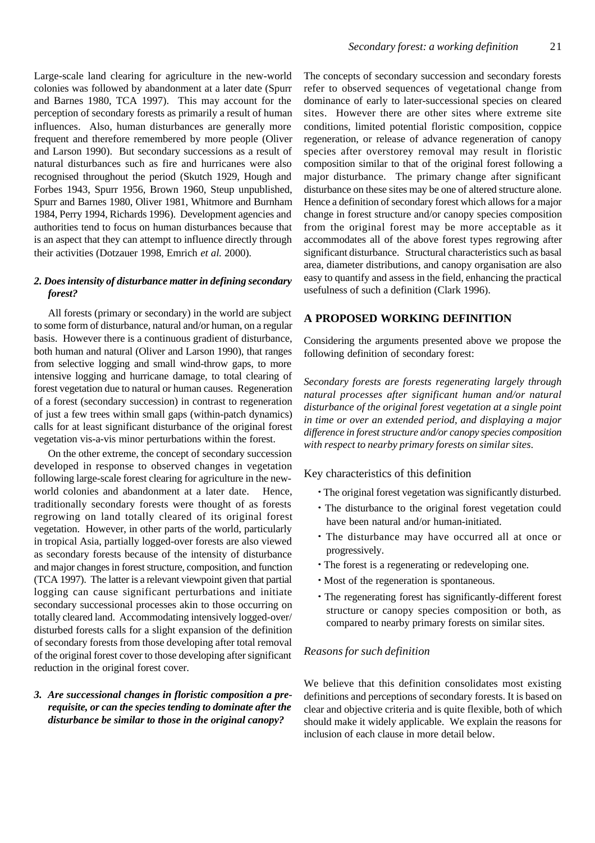Large-scale land clearing for agriculture in the new-world colonies was followed by abandonment at a later date (Spurr and Barnes 1980, TCA 1997). This may account for the perception of secondary forests as primarily a result of human influences. Also, human disturbances are generally more frequent and therefore remembered by more people (Oliver and Larson 1990). But secondary successions as a result of natural disturbances such as fire and hurricanes were also recognised throughout the period (Skutch 1929, Hough and Forbes 1943, Spurr 1956, Brown 1960, Steup unpublished, Spurr and Barnes 1980, Oliver 1981, Whitmore and Burnham 1984, Perry 1994, Richards 1996). Development agencies and authorities tend to focus on human disturbances because that is an aspect that they can attempt to influence directly through their activities (Dotzauer 1998, Emrich *et al.* 2000).

#### *2. Does intensity of disturbance matter in defining secondary forest?*

All forests (primary or secondary) in the world are subject to some form of disturbance, natural and/or human, on a regular basis. However there is a continuous gradient of disturbance, both human and natural (Oliver and Larson 1990), that ranges from selective logging and small wind-throw gaps, to more intensive logging and hurricane damage, to total clearing of forest vegetation due to natural or human causes. Regeneration of a forest (secondary succession) in contrast to regeneration of just a few trees within small gaps (within-patch dynamics) calls for at least significant disturbance of the original forest vegetation vis-a-vis minor perturbations within the forest.

On the other extreme, the concept of secondary succession developed in response to observed changes in vegetation following large-scale forest clearing for agriculture in the newworld colonies and abandonment at a later date. Hence, traditionally secondary forests were thought of as forests regrowing on land totally cleared of its original forest vegetation. However, in other parts of the world, particularly in tropical Asia, partially logged-over forests are also viewed as secondary forests because of the intensity of disturbance and major changes in forest structure, composition, and function (TCA 1997). The latter is a relevant viewpoint given that partial logging can cause significant perturbations and initiate secondary successional processes akin to those occurring on totally cleared land. Accommodating intensively logged-over/ disturbed forests calls for a slight expansion of the definition of secondary forests from those developing after total removal of the original forest cover to those developing after significant reduction in the original forest cover.

## *3. Are successional changes in floristic composition a prerequisite, or can the species tending to dominate after the disturbance be similar to those in the original canopy?*

The concepts of secondary succession and secondary forests refer to observed sequences of vegetational change from dominance of early to later-successional species on cleared sites. However there are other sites where extreme site conditions, limited potential floristic composition, coppice regeneration, or release of advance regeneration of canopy species after overstorey removal may result in floristic composition similar to that of the original forest following a major disturbance. The primary change after significant disturbance on these sites may be one of altered structure alone. Hence a definition of secondary forest which allows for a major change in forest structure and/or canopy species composition from the original forest may be more acceptable as it accommodates all of the above forest types regrowing after significant disturbance. Structural characteristics such as basal area, diameter distributions, and canopy organisation are also easy to quantify and assess in the field, enhancing the practical usefulness of such a definition (Clark 1996).

#### **A PROPOSED WORKING DEFINITION**

Considering the arguments presented above we propose the following definition of secondary forest:

*Secondary forests are forests regenerating largely through natural processes after significant human and/or natural disturbance of the original forest vegetation at a single point in time or over an extended period, and displaying a major difference in forest structure and/or canopy species composition with respect to nearby primary forests on similar sites*.

#### Key characteristics of this definition

- *·* The original forest vegetation was significantly disturbed.
- *·* The disturbance to the original forest vegetation could have been natural and/or human-initiated.
- *·* The disturbance may have occurred all at once or progressively.
- *·* The forest is a regenerating or redeveloping one.
- *·* Most of the regeneration is spontaneous.
- *·* The regenerating forest has significantly-different forest structure or canopy species composition or both, as compared to nearby primary forests on similar sites.

#### *Reasons for such definition*

We believe that this definition consolidates most existing definitions and perceptions of secondary forests. It is based on clear and objective criteria and is quite flexible, both of which should make it widely applicable. We explain the reasons for inclusion of each clause in more detail below.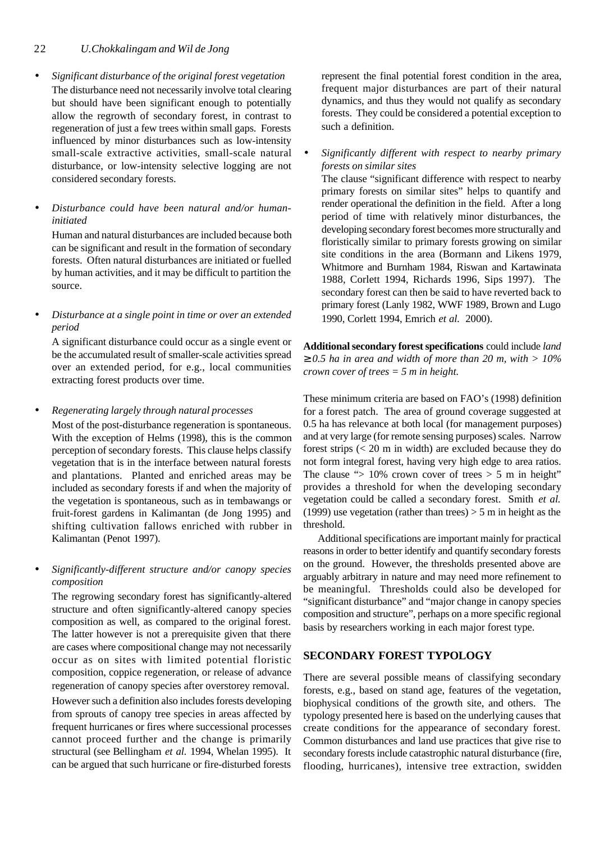## 22 *U.Chokkalingam and Wil de Jong*

- *· Significant disturbance of the original forest vegetation* The disturbance need not necessarily involve total clearing but should have been significant enough to potentially allow the regrowth of secondary forest, in contrast to regeneration of just a few trees within small gaps. Forests influenced by minor disturbances such as low-intensity small-scale extractive activities, small-scale natural disturbance, or low-intensity selective logging are not considered secondary forests.
- *· Disturbance could have been natural and/or humaninitiated*

Human and natural disturbances are included because both can be significant and result in the formation of secondary forests. Often natural disturbances are initiated or fuelled by human activities, and it may be difficult to partition the source.

*· Disturbance at a single point in time or over an extended period*

A significant disturbance could occur as a single event or be the accumulated result of smaller-scale activities spread over an extended period, for e.g., local communities extracting forest products over time.

*· Regenerating largely through natural processes*

Most of the post-disturbance regeneration is spontaneous. With the exception of Helms (1998), this is the common perception of secondary forests. This clause helps classify vegetation that is in the interface between natural forests and plantations. Planted and enriched areas may be included as secondary forests if and when the majority of the vegetation is spontaneous, such as in tembawangs or fruit-forest gardens in Kalimantan (de Jong 1995) and shifting cultivation fallows enriched with rubber in Kalimantan (Penot 1997).

#### *· Significantly-different structure and/or canopy species composition*

The regrowing secondary forest has significantly-altered structure and often significantly-altered canopy species composition as well, as compared to the original forest. The latter however is not a prerequisite given that there are cases where compositional change may not necessarily occur as on sites with limited potential floristic composition, coppice regeneration, or release of advance regeneration of canopy species after overstorey removal.

However such a definition also includes forests developing from sprouts of canopy tree species in areas affected by frequent hurricanes or fires where successional processes cannot proceed further and the change is primarily structural (see Bellingham *et al.* 1994, Whelan 1995). It can be argued that such hurricane or fire-disturbed forests

represent the final potential forest condition in the area, frequent major disturbances are part of their natural dynamics, and thus they would not qualify as secondary forests. They could be considered a potential exception to such a definition.

*· Significantly different with respect to nearby primary forests on similar sites*

The clause "significant difference with respect to nearby primary forests on similar sites" helps to quantify and render operational the definition in the field. After a long period of time with relatively minor disturbances, the developing secondary forest becomes more structurally and floristically similar to primary forests growing on similar site conditions in the area (Bormann and Likens 1979, Whitmore and Burnham 1984, Riswan and Kartawinata 1988, Corlett 1994, Richards 1996, Sips 1997). The secondary forest can then be said to have reverted back to primary forest (Lanly 1982, WWF 1989, Brown and Lugo 1990, Corlett 1994, Emrich *et al.* 2000).

**Additional secondary forest specifications** could include *land ³ 0.5 ha in area and width of more than 20 m, with > 10% crown cover of trees = 5 m in height.*

These minimum criteria are based on FAO's (1998) definition for a forest patch. The area of ground coverage suggested at 0.5 ha has relevance at both local (for management purposes) and at very large (for remote sensing purposes) scales. Narrow forest strips (< 20 m in width) are excluded because they do not form integral forest, having very high edge to area ratios. The clause " $> 10\%$  crown cover of trees  $> 5$  m in height" provides a threshold for when the developing secondary vegetation could be called a secondary forest. Smith *et al.* (1999) use vegetation (rather than trees)  $> 5$  m in height as the threshold.

Additional specifications are important mainly for practical reasons in order to better identify and quantify secondary forests on the ground. However, the thresholds presented above are arguably arbitrary in nature and may need more refinement to be meaningful. Thresholds could also be developed for "significant disturbance" and "major change in canopy species composition and structure", perhaps on a more specific regional basis by researchers working in each major forest type.

## **SECONDARY FOREST TYPOLOGY**

There are several possible means of classifying secondary forests, e.g., based on stand age, features of the vegetation, biophysical conditions of the growth site, and others. The typology presented here is based on the underlying causes that create conditions for the appearance of secondary forest. Common disturbances and land use practices that give rise to secondary forests include catastrophic natural disturbance (fire, flooding, hurricanes), intensive tree extraction, swidden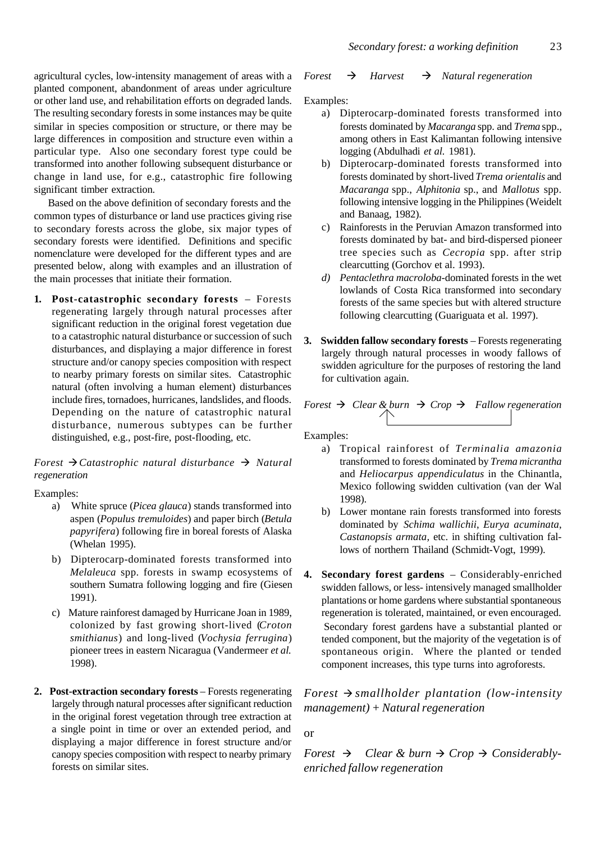agricultural cycles, low-intensity management of areas with a planted component, abandonment of areas under agriculture or other land use, and rehabilitation efforts on degraded lands. The resulting secondary forests in some instances may be quite similar in species composition or structure, or there may be large differences in composition and structure even within a particular type. Also one secondary forest type could be transformed into another following subsequent disturbance or change in land use, for e.g., catastrophic fire following significant timber extraction.

Based on the above definition of secondary forests and the common types of disturbance or land use practices giving rise to secondary forests across the globe, six major types of secondary forests were identified. Definitions and specific nomenclature were developed for the different types and are presented below, along with examples and an illustration of the main processes that initiate their formation.

**1. Post-catastrophic secondary forests** – Forests regenerating largely through natural processes after significant reduction in the original forest vegetation due to a catastrophic natural disturbance or succession of such disturbances, and displaying a major difference in forest structure and/or canopy species composition with respect to nearby primary forests on similar sites. Catastrophic natural (often involving a human element) disturbances include fires, tornadoes, hurricanes, landslides, and floods. Depending on the nature of catastrophic natural disturbance, numerous subtypes can be further distinguished, e.g., post-fire, post-flooding, etc.

## *Forest* ‡*Catastrophic natural disturbance* ‡ *Natural regeneration*

Examples:

- a) White spruce (*Picea glauca*) stands transformed into aspen (*Populus tremuloides*) and paper birch (*Betula papyrifera*) following fire in boreal forests of Alaska (Whelan 1995).
- b) Dipterocarp-dominated forests transformed into *Melaleuca* spp. forests in swamp ecosystems of southern Sumatra following logging and fire (Giesen 1991).
- c) Mature rainforest damaged by Hurricane Joan in 1989, colonized by fast growing short-lived (*Croton smithianus*) and long-lived (*Vochysia ferrugina*) pioneer trees in eastern Nicaragua (Vandermeer *et al.* 1998).
- **2. Post-extraction secondary forests**  Forests regenerating largely through natural processes after significant reduction in the original forest vegetation through tree extraction at a single point in time or over an extended period, and displaying a major difference in forest structure and/or canopy species composition with respect to nearby primary forests on similar sites.

#### *Forest*  $\rightarrow$  *Harvest*  $\rightarrow$  *Natural regeneration*

Examples:

- a) Dipterocarp-dominated forests transformed into forests dominated by *Macaranga* spp. and *Trema* spp., among others in East Kalimantan following intensive logging (Abdulhadi *et al.* 1981).
- b) Dipterocarp-dominated forests transformed into forests dominated by short-lived *Trema orientalis* and *Macaranga* spp., *Alphitonia* sp., and *Mallotus* spp. following intensive logging in the Philippines (Weidelt and Banaag, 1982).
- c) Rainforests in the Peruvian Amazon transformed into forests dominated by bat- and bird-dispersed pioneer tree species such as *Cecropia* spp. after strip clearcutting (Gorchov et al. 1993).
- *d) Pentaclethra macroloba*-dominated forests in the wet lowlands of Costa Rica transformed into secondary forests of the same species but with altered structure following clearcutting (Guariguata et al. 1997).
- **3. Swidden fallow secondary forests** Forests regenerating largely through natural processes in woody fallows of swidden agriculture for the purposes of restoring the land for cultivation again.

*Forest*  $\rightarrow$  *Clear & burn*  $\rightarrow$  *Crop*  $\rightarrow$  *Fallow regeneration* 

Examples:

- a) Tropical rainforest of *Terminalia amazonia* transformed to forests dominated by *Trema micrantha* and *Heliocarpus appendiculatus* in the Chinantla, Mexico following swidden cultivation (van der Wal 1998).
- b) Lower montane rain forests transformed into forests dominated by *Schima wallichii*, *Eurya acuminata*, *Castanopsis armata,* etc. in shifting cultivation fallows of northern Thailand (Schmidt-Vogt, 1999).
- **4. Secondary forest gardens** Considerably-enriched swidden fallows, or less- intensively managed smallholder plantations or home gardens where substantial spontaneous regeneration is tolerated, maintained, or even encouraged. Secondary forest gardens have a substantial planted or tended component, but the majority of the vegetation is of spontaneous origin. Where the planted or tended component increases, this type turns into agroforests.

*Forest* ‡ *smallholder plantation (low-intensity management) + Natural regeneration*

#### or

*Forest*  $\rightarrow$  *Clear & burn*  $\rightarrow$  *Crop*  $\rightarrow$  *Considerablyenriched fallow regeneration*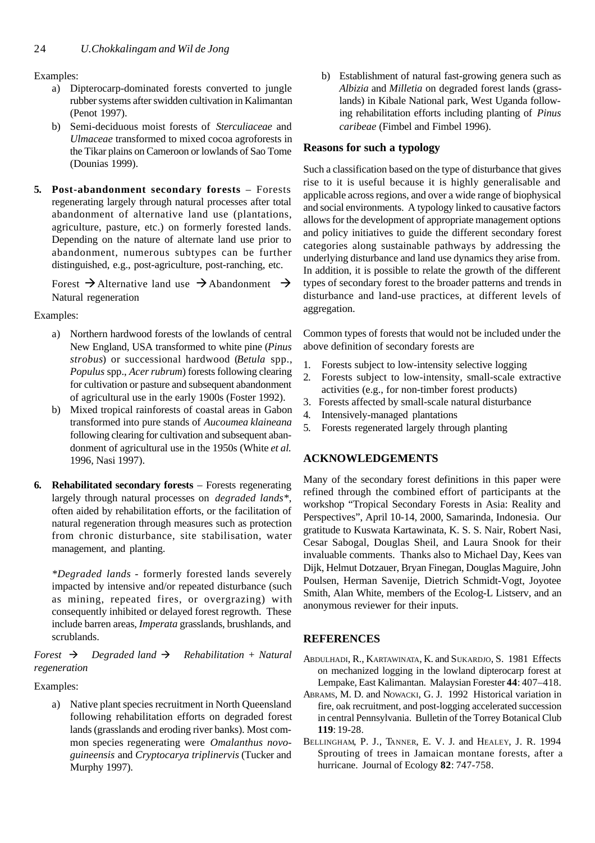Examples:

- a) Dipterocarp-dominated forests converted to jungle rubber systems after swidden cultivation in Kalimantan (Penot 1997).
- b) Semi-deciduous moist forests of *Sterculiaceae* and *Ulmaceae* transformed to mixed cocoa agroforests in the Tikar plains on Cameroon or lowlands of Sao Tome (Dounias 1999).
- **5. Post-abandonment secondary forests** Forests regenerating largely through natural processes after total abandonment of alternative land use (plantations, agriculture, pasture, etc.) on formerly forested lands. Depending on the nature of alternate land use prior to abandonment, numerous subtypes can be further distinguished, e.g., post-agriculture, post-ranching, etc.

Forest  $\rightarrow$  Alternative land use  $\rightarrow$  Abandonment  $\rightarrow$ Natural regeneration

Examples:

- a) Northern hardwood forests of the lowlands of central New England, USA transformed to white pine (*Pinus strobus*) or successional hardwood (*Betula* spp., *Populus* spp., *Acer rubrum*) forests following clearing for cultivation or pasture and subsequent abandonment of agricultural use in the early 1900s (Foster 1992).
- b) Mixed tropical rainforests of coastal areas in Gabon transformed into pure stands of *Aucoumea klaineana* following clearing for cultivation and subsequent abandonment of agricultural use in the 1950s (White *et al.* 1996, Nasi 1997).
- **6. Rehabilitated secondary forests**  Forests regenerating largely through natural processes on *degraded lands\**, often aided by rehabilitation efforts, or the facilitation of natural regeneration through measures such as protection from chronic disturbance, site stabilisation, water management, and planting.

*\*Degraded lands* - formerly forested lands severely impacted by intensive and/or repeated disturbance (such as mining, repeated fires, or overgrazing) with consequently inhibited or delayed forest regrowth. These include barren areas, *Imperata* grasslands, brushlands, and scrublands.

*Forest*  $\rightarrow$  *Degraded land*  $\rightarrow$  *Rehabilitation + Natural regeneration*

Examples:

a) Native plant species recruitment in North Queensland following rehabilitation efforts on degraded forest lands (grasslands and eroding river banks). Most common species regenerating were *Omalanthus novoguineensis* and *Cryptocarya triplinervis* (Tucker and Murphy 1997).

b) Establishment of natural fast-growing genera such as *Albizia* and *Milletia* on degraded forest lands (grasslands) in Kibale National park, West Uganda following rehabilitation efforts including planting of *Pinus caribeae* (Fimbel and Fimbel 1996).

# **Reasons for such a typology**

Such a classification based on the type of disturbance that gives rise to it is useful because it is highly generalisable and applicable across regions, and over a wide range of biophysical and social environments. A typology linked to causative factors allows for the development of appropriate management options and policy initiatives to guide the different secondary forest categories along sustainable pathways by addressing the underlying disturbance and land use dynamics they arise from. In addition, it is possible to relate the growth of the different types of secondary forest to the broader patterns and trends in disturbance and land-use practices, at different levels of aggregation.

Common types of forests that would not be included under the above definition of secondary forests are

- 1. Forests subject to low-intensity selective logging
- 2. Forests subject to low-intensity, small-scale extractive activities (e.g., for non-timber forest products)
- 3. Forests affected by small-scale natural disturbance
- 4. Intensively-managed plantations
- 5. Forests regenerated largely through planting

# **ACKNOWLEDGEMENTS**

Many of the secondary forest definitions in this paper were refined through the combined effort of participants at the workshop "Tropical Secondary Forests in Asia: Reality and Perspectives", April 10-14, 2000, Samarinda, Indonesia. Our gratitude to Kuswata Kartawinata, K. S. S. Nair, Robert Nasi, Cesar Sabogal, Douglas Sheil, and Laura Snook for their invaluable comments. Thanks also to Michael Day, Kees van Dijk, Helmut Dotzauer, Bryan Finegan, Douglas Maguire, John Poulsen, Herman Savenije, Dietrich Schmidt-Vogt, Joyotee Smith, Alan White, members of the Ecolog-L Listserv, and an anonymous reviewer for their inputs.

# **REFERENCES**

- ABDULHADI, R., KARTAWINATA, K. and SUKARDJO, S. 1981 Effects on mechanized logging in the lowland dipterocarp forest at Lempake, East Kalimantan. Malaysian Forester **44**: 407–418.
- ABRAMS, M. D. and NOWACKI, G. J. 1992 Historical variation in fire, oak recruitment, and post-logging accelerated succession in central Pennsylvania. Bulletin of the Torrey Botanical Club **119**: 19-28.
- BELLINGHAM, P. J., TANNER, E. V. J. and HEALEY, J. R. 1994 Sprouting of trees in Jamaican montane forests, after a hurricane. Journal of Ecology **82**: 747-758.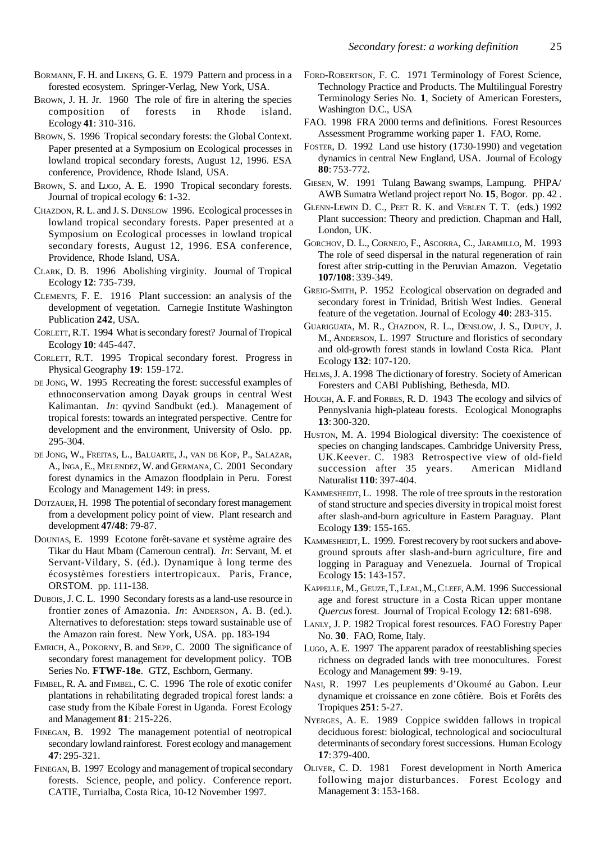- BORMANN, F. H. and LIKENS, G. E. 1979 Pattern and process in a forested ecosystem. Springer-Verlag, New York, USA.
- BROWN, J. H. Jr. 1960 The role of fire in altering the species composition of forests in Rhode island. Ecology **41**: 310-316.
- BROWN, S. 1996 Tropical secondary forests: the Global Context. Paper presented at a Symposium on Ecological processes in lowland tropical secondary forests, August 12, 1996. ESA conference, Providence, Rhode Island, USA.
- BROWN, S. and LUGO, A. E. 1990 Tropical secondary forests. Journal of tropical ecology **6**: 1-32.
- CHAZDON, R. L. and J. S. DENSLOW 1996. Ecological processes in lowland tropical secondary forests. Paper presented at a Symposium on Ecological processes in lowland tropical secondary forests, August 12, 1996. ESA conference, Providence, Rhode Island, USA.
- CLARK, D. B. 1996 Abolishing virginity. Journal of Tropical Ecology **12**: 735-739.
- CLEMENTS, F. E. 1916 Plant succession: an analysis of the development of vegetation. Carnegie Institute Washington Publication **242**, USA.
- CORLETT, R.T. 1994 What is secondary forest? Journal of Tropical Ecology **10**: 445-447.
- CORLETT, R.T. 1995 Tropical secondary forest. Progress in Physical Geography **19**: 159-172.
- DE JONG, W. 1995 Recreating the forest: successful examples of ethnoconservation among Dayak groups in central West Kalimantan. *In*: qyvind Sandbukt (ed.). Management of tropical forests: towards an integrated perspective. Centre for development and the environment, University of Oslo. pp. 295-304.
- DE JONG, W., FREITAS, L., BALUARTE, J., VAN DE KOP, P., SALAZAR, A., INGA, E., MELENDEZ, W. and GERMANA, C. 2001 Secondary forest dynamics in the Amazon floodplain in Peru. Forest Ecology and Management 149: in press.
- DOTZAUER, H. 1998 The potential of secondary forest management from a development policy point of view. Plant research and development **47/48**: 79-87.
- DOUNIAS, E. 1999 Ecotone forêt-savane et système agraire des Tikar du Haut Mbam (Cameroun central). *In*: Servant, M. et Servant-Vildary, S. (éd.). Dynamique à long terme des écosystèmes forestiers intertropicaux. Paris, France, ORSTOM. pp. 111-138.
- DUBOIS, J. C. L. 1990 Secondary forests as a land-use resource in frontier zones of Amazonia. *In*: ANDERSON, A. B. (ed.). Alternatives to deforestation: steps toward sustainable use of the Amazon rain forest. New York, USA. pp. 183-194
- EMRICH, A., POKORNY, B. and SEPP, C. 2000 The significance of secondary forest management for development policy. TOB Series No. **FTWF-18e**. GTZ, Eschborn, Germany.
- FIMBEL, R. A. and FIMBEL, C. C. 1996 The role of exotic conifer plantations in rehabilitating degraded tropical forest lands: a case study from the Kibale Forest in Uganda. Forest Ecology and Management **81**: 215-226.
- FINEGAN, B. 1992 The management potential of neotropical secondary lowland rainforest. Forest ecology and management **47**: 295-321.
- FINEGAN, B. 1997 Ecology and management of tropical secondary forests. Science, people, and policy. Conference report. CATIE, Turrialba, Costa Rica, 10-12 November 1997.
- FORD-ROBERTSON, F. C. 1971 Terminology of Forest Science, Technology Practice and Products. The Multilingual Forestry Terminology Series No. **1**, Society of American Foresters, Washington D.C., USA
- FAO. 1998 FRA 2000 terms and definitions. Forest Resources Assessment Programme working paper **1**. FAO, Rome.
- FOSTER, D. 1992 Land use history (1730-1990) and vegetation dynamics in central New England, USA. Journal of Ecology **80**: 753-772.
- GIESEN, W. 1991 Tulang Bawang swamps, Lampung. PHPA/ AWB Sumatra Wetland project report No. **15**, Bogor. pp. 42 .
- GLENN-LEWIN D. C., PEET R. K. and VEBLEN T. T. (eds.) 1992 Plant succession: Theory and prediction. Chapman and Hall, London, UK.
- GORCHOV, D. L., CORNEJO, F., ASCORRA, C., JARAMILLO, M. 1993 The role of seed dispersal in the natural regeneration of rain forest after strip-cutting in the Peruvian Amazon. Vegetatio **107/108**: 339-349.
- GREIG-SMITH, P. 1952 Ecological observation on degraded and secondary forest in Trinidad, British West Indies. General feature of the vegetation. Journal of Ecology **40**: 283-315.
- GUARIGUATA, M. R., CHAZDON, R. L., DENSLOW, J. S., DUPUY, J. M., ANDERSON, L. 1997 Structure and floristics of secondary and old-growth forest stands in lowland Costa Rica. Plant Ecology **132**: 107-120.
- HELMS, J. A. 1998 The dictionary of forestry. Society of American Foresters and CABI Publishing, Bethesda, MD.
- HOUGH, A. F. and FORBES, R. D. 1943 The ecology and silvics of Pennyslvania high-plateau forests. Ecological Monographs **13**: 300-320.
- HUSTON, M. A. 1994 Biological diversity: The coexistence of species on changing landscapes. Cambridge University Press, UK.Keever. C. 1983 Retrospective view of old-field succession after 35 years. American Midland Naturalist **110**: 397-404.
- KAMMESHEIDT, L. 1998. The role of tree sprouts in the restoration of stand structure and species diversity in tropical moist forest after slash-and-burn agriculture in Eastern Paraguay. Plant Ecology **139**: 155-165.
- KAMMESHEIDT, L. 1999. Forest recovery by root suckers and aboveground sprouts after slash-and-burn agriculture, fire and logging in Paraguay and Venezuela. Journal of Tropical Ecology **15**: 143-157.
- KAPPELLE, M., GEUZE, T., LEAL, M., CLEEF, A.M. 1996 Successional age and forest structure in a Costa Rican upper montane *Quercus* forest. Journal of Tropical Ecology **12**: 681-698.
- LANLY, J. P. 1982 Tropical forest resources. FAO Forestry Paper No. **30**. FAO, Rome, Italy.
- LUGO, A. E. 1997 The apparent paradox of reestablishing species richness on degraded lands with tree monocultures. Forest Ecology and Management **99**: 9-19.
- NASI, R. 1997 Les peuplements d'Okoumé au Gabon. Leur dynamique et croissance en zone côtière. Bois et Forêts des Tropiques **251**: 5-27.
- NYERGES, A. E. 1989 Coppice swidden fallows in tropical deciduous forest: biological, technological and sociocultural determinants of secondary forest successions. Human Ecology **17**: 379-400.
- OLIVER, C. D. 1981 Forest development in North America following major disturbances. Forest Ecology and Management **3**: 153-168.